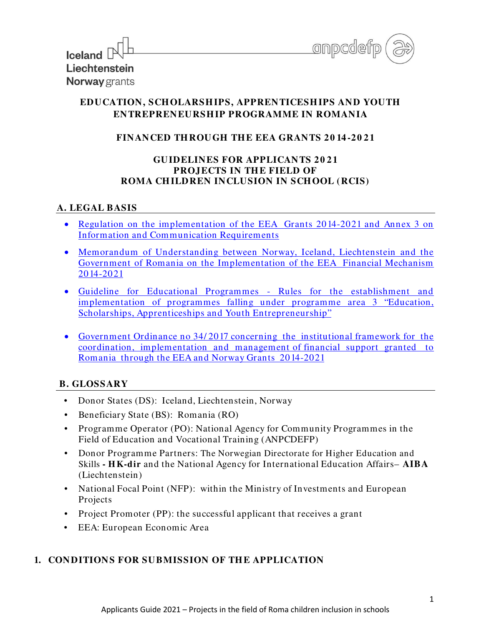

| Iceland $\mathbb{N}^{\mathbb{L}}$ |  |
|-----------------------------------|--|
| Liechtenstein                     |  |
| Norway grants                     |  |

 $\Box$ 

# **EDUCATION, SCH OLARSH IPS, APPRENTICESH IPS AND YOUTH ENTREPRENEURSH IP PROGRAMME IN ROMANIA**

# **FINANCED TH ROUGH TH E EEA GRANTS 2 0 14 -2 0 2 1**

## **GUIDELINES FOR APPLICANTS 2 0 2 1 PROJECTS IN THE FIELD OF ROMA CH ILDREN INCLUSION IN SCH OOL (RCIS)**

## **A. LEGAL BASIS**

- Regulation on [the implementation](https://eeagrants.org/resources/regulation-implementation-eea-grants-2014-2021) of the EEA Grants 2014-2021 and Annex 3 on Information and [Communication](https://eeagrants.org/resources/regulation-implementation-eea-grants-2014-2021) Requirements
- Memorandum of Understanding between Norway, Iceland, [Liechtenstein and](https://eeagrants.org/resources/romania-memorandum-understanding-eea-grants-2014-2021) the Government of Romania on [the Implementation](https://eeagrants.org/resources/romania-memorandum-understanding-eea-grants-2014-2021) of the EEA Financial Mechanism [2014-2021](https://eeagrants.org/resources/romania-memorandum-understanding-eea-grants-2014-2021)
- [Guideline for Educational Programmes Rules](https://eeagrants.org/resources/2014-2021-guideline-educational-programmes) for the establishment and implementation of programmes falling under programme [area 3 "Education,](https://eeagrants.org/resources/2014-2021-guideline-educational-programmes) Scholarships, Apprenticeships and Youth Entrepreneurship"
- Government Ordinance no 34/ 2017 [concerning the institutional](https://www.eeagrants.ro/files/upload-dir/59-oug---34-2017-cu-modif-31102017.pdf) framework for the [coordination, implementation and management](https://www.eeagrants.ro/files/upload-dir/59-oug---34-2017-cu-modif-31102017.pdf) of financial support granted to Romania through the EEA and Norway [Grants 2014-2021](https://www.eeagrants.ro/files/upload-dir/59-oug---34-2017-cu-modif-31102017.pdf)

## **B. GLOSSARY**

- Donor States (DS): Iceland, Liechtenstein, Norway
- Beneficiary State (BS): Romania (RO)
- Programme Operator (PO): National Agency for Community Programmes in the Field of Education and Vocational Training (ANPCDEFP)
- Donor Programme Partners: The Norwegian Directorate for Higher Education and Skills **- H K-dir** and the National Agency for International Education Affairs– **AIBA** (Liechtenstein)
- National Focal Point (NFP): within the Ministry of [Investments](http://www.mdrap.gov.ro/) and European [Projects](http://www.mdrap.gov.ro/)
- Project Promoter (PP): the successful applicant that receives a grant
- EEA: European Economic Area

# **1. CONDITIONS FOR SUBMISSION OF TH E APPLICATION**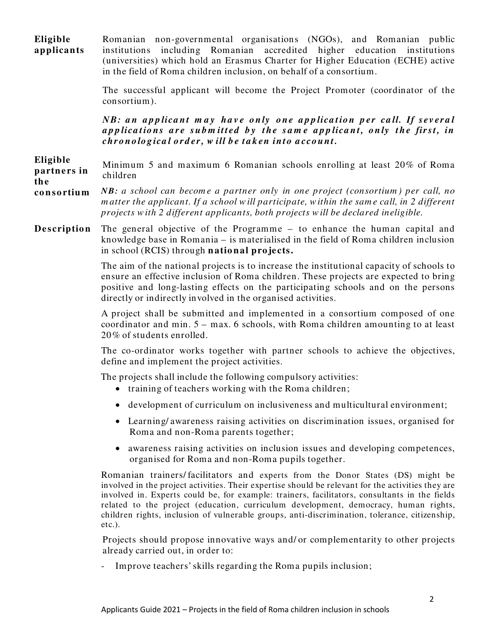**Eligible applican ts**  Romanian non-governmental organisations (NGOs), and Romanian public institutions including Romanian accredited higher education institutions (universities) which hold an Erasmus Charter for Higher Education (ECHE) active in the field of Roma children inclusion, on behalf of a consortium.

> The successful applicant will become the Project Promoter (coordinator of the consortium).

> *NB*: an applicant may have only one application per call. If several *a p p lica t io n s a r e s u b m it t ed b y t he s a m e a p p lica n t , o n ly t he fir s t , in chr o n o lo g ica l o r d er , w ill b e t a k en in t o a cco u nt .*

#### **Eligible partn e rs in the** Minimum 5 and maximum 6 Romanian schools enrolling at least 20% of Roma children

#### **co n so rtium** *NB: a school can becom e a partner only in one project (consortium ) per call, no m atter the applicant. If a school w ill participate, w ithin the sam e call, in 2 different projects w ith 2 different applicants, both projects w ill be declared ineligible.*

**Description** The general objective of the Programme – to enhance the human capital and knowledge base in Romania – is materialised in the field of Roma children inclusion in school (RCIS) through **n atio n al pro jects.** 

> The aim of the national projects is to increase the institutional capacity of schools to ensure an effective inclusion of Roma children. These projects are expected to bring positive and long-lasting effects on the participating schools and on the persons directly or indirectly involved in the organised activities.

> A project shall be submitted and implemented in a consortium composed of one coordinator and min. 5 – max. 6 schools, with Roma children amounting to at least 20% of students enrolled.

> The co-ordinator works together with partner schools to achieve the objectives, define and implement the project activities.

The projects shall include the following compulsory activities:

- training of teachers working with the Roma children;
- development of curriculum on inclusiveness and multicultural environment;
- Learning/ awareness raising activities on discrimination issues, organised for Roma and non-Roma parents together;
- awareness raising activities on inclusion issues and developing competences, organised for Roma and non-Roma pupils together.

Romanian trainers/ facilitators and experts from the Donor States (DS) might be involved in the project activities. Their expertise should be relevant for the activities they are involved in. Experts could be, for example: trainers, facilitators, consultants in the fields related to the project (education, curriculum development, democracy, human rights, children rights, inclusion of vulnerable groups, anti-discrimination, tolerance, citizenship, etc.).

Projects should propose innovative ways and/ or complementarity to other projects already carried out, in order to:

Improve teachers' skills regarding the Roma pupils inclusion;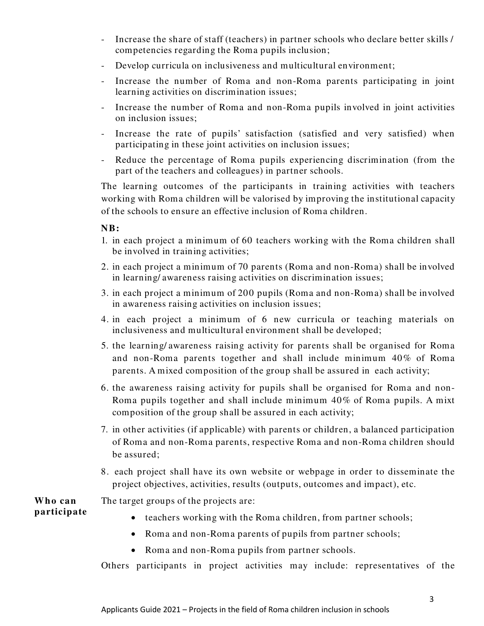- Increase the share of staff (teachers) in partner schools who declare better skills / competencies regarding the Roma pupils inclusion;
- Develop curricula on inclusiveness and multicultural environment;
- Increase the number of Roma and non-Roma parents participating in joint learning activities on discrimination issues;
- Increase the number of Roma and non-Roma pupils involved in joint activities on inclusion issues;
- Increase the rate of pupils' satisfaction (satisfied and very satisfied) when participating in these joint activities on inclusion issues;
- Reduce the percentage of Roma pupils experiencing discrimination (from the part of the teachers and colleagues) in partner schools.

The learning outcomes of the participants in training activities with teachers working with Roma children will be valorised by improving the institutional capacity of the schools to ensure an effective inclusion of Roma children.

#### **NB:**

- 1. in each project a minimum of 60 teachers working with the Roma children shall be involved in training activities;
- 2. in each project a minimum of 70 parents (Roma and non-Roma) shall be involved in learning/ awareness raising activities on discrimination issues;
- 3. in each project a minimum of 200 pupils (Roma and non-Roma) shall be involved in awareness raising activities on inclusion issues;
- 4. in each project a minimum of 6 new curricula or teaching materials on inclusiveness and multicultural environment shall be developed;
- 5. the learning/ awareness raising activity for parents shall be organised for Roma and non-Roma parents together and shall include minimum 40% of Roma parents. A mixed composition of the group shall be assured in each activity;
- 6. the awareness raising activity for pupils shall be organised for Roma and non-Roma pupils together and shall include minimum 40% of Roma pupils. A mixt composition of the group shall be assured in each activity;
- 7. in other activities (if applicable) with parents or children, a balanced participation of Roma and non-Roma parents, respective Roma and non-Roma children should be assured;
- 8. each project shall have its own website or webpage in order to disseminate the project objectives, activities, results (outputs, outcomes and impact), etc.

**W ho can participate**

- The target groups of the projects are:
	- teachers working with the Roma children, from partner schools;
	- Roma and non-Roma parents of pupils from partner schools;
	- Roma and non-Roma pupils from partner schools.

Others participants in project activities may include: representatives of the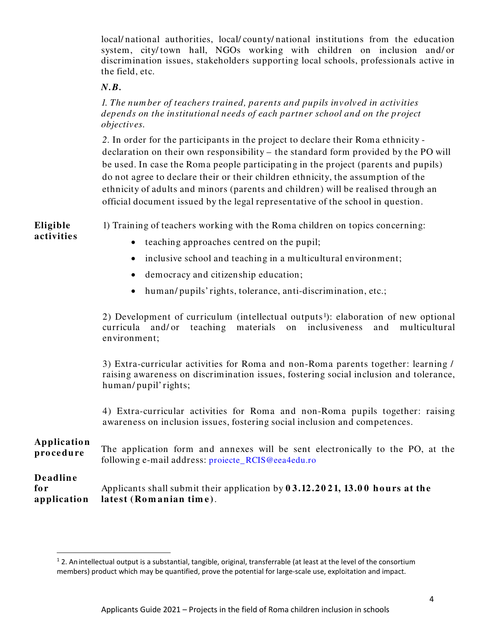local/ national authorities, local/ county/ national institutions from the education system, city/ town hall, NGOs working with children on inclusion and/ or discrimination issues, stakeholders supporting local schools, professionals active in the field, etc.

#### *N.B.*

*1. The num ber of teachers trained, parents and pupils involved in activities depends on the institutional needs of each partner school and on the project objectives.*

*2.* In order for the participants in the project to declare their Roma ethnicity declaration on their own responsibility – the standard form provided by the PO will be used. In case the Roma people participating in the project (parents and pupils) do not agree to declare their or their children ethnicity, the assumption of the ethnicity of adults and minors (parents and children) will be realised through an official document issued by the legal representative of the school in question.

**Eligible** 1) Training of teachers working with the Roma children on topics concerning:

- **activitie s**
- teaching approaches centred on the pupil;
- inclusive school and teaching in a multicultural environment;
- democracy and citizenship education;
- human/ pupils' rights, tolerance, anti-discrimination, etc.;

2) Development of curriculum (intellectual outputs<sup>[1](#page-3-0)</sup>): elaboration of new optional curricula and/ or teaching materials on inclusiveness and multicultural environment;

3) Extra-curricular activities for Roma and non-Roma parents together: learning / raising awareness on discrimination issues, fostering social inclusion and tolerance, human/ pupil' rights;

4) Extra-curricular activities for Roma and non-Roma pupils together: raising awareness on inclusion issues, fostering social inclusion and competences.

## **Applicatio n**

**procedure** The application form and annexes will be sent electronically to the PO, at the following e-mail address: proiecte\_RCIS@eea4edu.ro

# **De adlin e**

| for | Applicants shall submit their application by $03.12.2021$ , $13.00$ hours at the |
|-----|----------------------------------------------------------------------------------|
|     | application latest (Romanian time).                                              |

<span id="page-3-0"></span> $12$ . An intellectual output is a substantial, tangible, original, transferrable (at least at the level of the consortium members) product which may be quantified, prove the potential for large-scale use, exploitation and impact.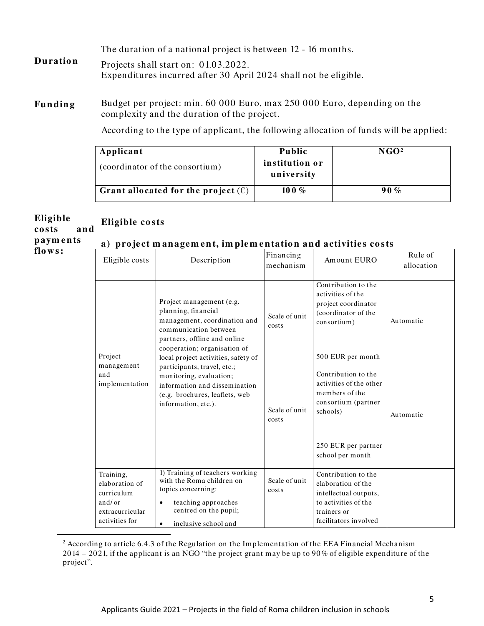The duration of a national project is between 12 - 16 months.

- **Duratio n** Projects shall start on: 01.03.2022. Expenditures incurred after 30 April 2024 shall not be eligible.
- Funding Budget per project: min. 60 000 Euro, max 250 000 Euro, depending on the complexity and the duration of the project.

According to the type of applicant, the following allocation of funds will be applied:

| Applicant                                    | <b>Public</b>                | NGO <sup>2</sup> |
|----------------------------------------------|------------------------------|------------------|
| (coordinator of the consortium)              | institution or<br>university |                  |
| Grant allocated for the project $(\epsilon)$ | 10 0 $\%$                    | 90%              |

#### **Eligible co sts an d Eligible co sts**

**paym e n ts**

#### **a) pro ject m anagem en t, im ple m e n tatio n an d activitie s co sts**

**flo w s:** 

| a) project management, implementation and activities costs |
|------------------------------------------------------------|
|------------------------------------------------------------|

| Eligible costs                                                                           | Description                                                                                                                                                                                                     | Financing<br>mechanism | Amount EURO                                                                                                                        | Rule of<br>allocation |
|------------------------------------------------------------------------------------------|-----------------------------------------------------------------------------------------------------------------------------------------------------------------------------------------------------------------|------------------------|------------------------------------------------------------------------------------------------------------------------------------|-----------------------|
| Project                                                                                  | Project management (e.g.<br>planning, financial<br>management, coordination and<br>communication between<br>partners, offline and online<br>cooperation; organisation of<br>local project activities, safety of | Scale of unit<br>costs | Contribution to the<br>activities of the<br>project coordinator<br>(coordinator of the<br>consortium)<br>500 EUR per month         | Automatic             |
| management<br>and<br>implementation                                                      | participants, travel, etc.;<br>monitoring, evaluation;<br>information and dissemination<br>(e.g. brochures, leaflets, web<br>information, etc.).                                                                | Scale of unit<br>costs | Contribution to the<br>activities of the other<br>members of the<br>consortium (partner<br>schools)                                | Automatic             |
|                                                                                          |                                                                                                                                                                                                                 |                        | 250 EUR per partner<br>school per month                                                                                            |                       |
| Training,<br>elaboration of<br>curriculum<br>and/or<br>extracurricular<br>activities for | 1) Training of teachers working<br>with the Roma children on<br>topics concerning:<br>teaching approaches<br>$\bullet$<br>centred on the pupil;<br>inclusive school and<br>$\bullet$                            | Scale of unit<br>costs | Contribution to the<br>elaboration of the<br>intellectual outputs,<br>to activities of the<br>trainers or<br>facilitators involved |                       |

<span id="page-4-0"></span><sup>&</sup>lt;sup>2</sup> According to article 6.4.3 of the Regulation on the Implementation of the EEA Financial Mechanism 2014 – 20 21, if the applicant is an NGO "the project grant may be up to 90 % of eligible expenditure of the project".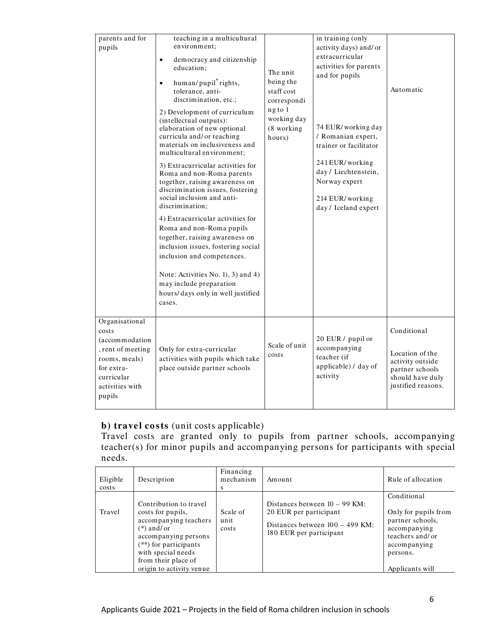| parents and for<br>pupils                                                                                                                | teaching in a multicultural<br>environment:<br>$\bullet$<br>democracy and citizenship<br>education;<br>human/pupil'rights,<br>tolerance, anti-<br>discrimination, etc.;<br>2) Development of curriculum<br>(intellectual outputs):<br>elaboration of new optional<br>curricula and/ or teaching<br>materials on inclusiveness and<br>multicultural environment;<br>3) Extracurricular activities for<br>Roma and non-Roma parents<br>together, raising awareness on<br>discrimination issues, fostering<br>social inclusion and anti-<br>discrimination:<br>4) Extracurricular activities for<br>Roma and non-Roma pupils<br>together, raising awareness on<br>inclusion issues, fostering social<br>inclusion and competences.<br>Note: Activities No. 1), 3) and 4)<br>may include preparation<br>hours/days only in well justified<br>cases. | The unit<br>being the<br>staff cost<br>correspondi<br>ng to 1<br>working day<br>(8 working<br>hours) | in training (only<br>activity days) and/or<br>extracurricular<br>activities for parents<br>and for pupils<br>74 EUR/working day<br>/ Romanian expert,<br>trainer or facilitator<br>241 EUR/working<br>day / Liechtenstein,<br>Norway expert<br>214 EUR/working<br>day / Iceland expert | Automatic                                                                                                       |
|------------------------------------------------------------------------------------------------------------------------------------------|-------------------------------------------------------------------------------------------------------------------------------------------------------------------------------------------------------------------------------------------------------------------------------------------------------------------------------------------------------------------------------------------------------------------------------------------------------------------------------------------------------------------------------------------------------------------------------------------------------------------------------------------------------------------------------------------------------------------------------------------------------------------------------------------------------------------------------------------------|------------------------------------------------------------------------------------------------------|----------------------------------------------------------------------------------------------------------------------------------------------------------------------------------------------------------------------------------------------------------------------------------------|-----------------------------------------------------------------------------------------------------------------|
| Organisational<br>costs<br>(accommodation<br>, rent of meeting<br>rooms, meals)<br>for extra-<br>curricular<br>activities with<br>pupils | Only for extra-curricular<br>activities with pupils which take<br>place outside partner schools                                                                                                                                                                                                                                                                                                                                                                                                                                                                                                                                                                                                                                                                                                                                                 | Scale of unit<br>costs                                                                               | 20 EUR / pupil or<br>accompanying<br>teacher (if<br>applicable) / day of<br>activity                                                                                                                                                                                                   | Conditional<br>Location of the<br>activity outside<br>partner schools<br>should have duly<br>justified reasons. |

# **b) travel co sts** (unit costs applicable)

Travel costs are granted only to pupils from partner schools, accompanying teacher(s) for minor pupils and accompanying persons for participants with special needs.

| Eligible<br>costs | Description                                                                                                                                                                                                    | Financing<br>mechanism<br>S | Amount                                                                                                                    | Rule of allocation                                                                                                                        |
|-------------------|----------------------------------------------------------------------------------------------------------------------------------------------------------------------------------------------------------------|-----------------------------|---------------------------------------------------------------------------------------------------------------------------|-------------------------------------------------------------------------------------------------------------------------------------------|
| Travel            | Contribution to travel<br>costs for pupils,<br>accompanying teachers<br>$(*)$ and/or<br>accompanying persons<br>(**) for participants<br>with special needs<br>from their place of<br>origin to activity venue | Scale of<br>unit<br>costs   | Distances between $10 - 99$ KM:<br>20 EUR per participant<br>Distances between $100 - 499$ KM:<br>180 EUR per participant | Conditional<br>Only for pupils from<br>partner schools,<br>accompanying<br>teachers and/or<br>accompanying<br>persons.<br>Applicants will |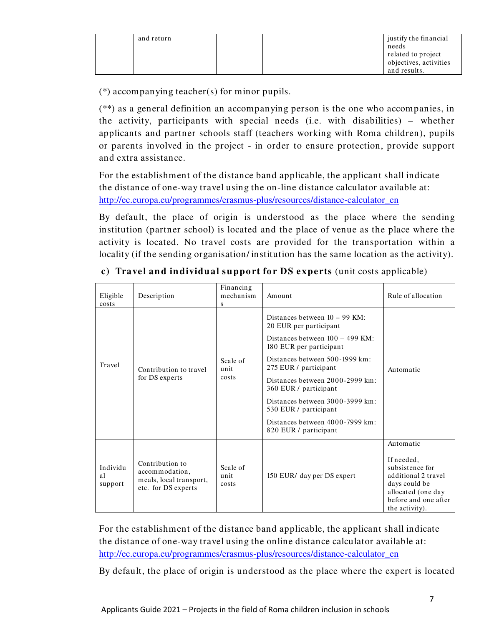| and return |  | justify the financial<br>needs<br>related to project |
|------------|--|------------------------------------------------------|
|            |  | objectives, activities                               |
|            |  | and results.                                         |

(\*) accompanying teacher(s) for minor pupils.

(\*\*) as a general definition an accompanying person is the one who accompanies, in the activity, participants with special needs (i.e. with disabilities) – whether applicants and partner schools staff (teachers working with Roma children), pupils or parents involved in the project - in order to ensure protection, provide support and extra assistance.

For the establishment of the distance band applicable, the applicant shall indicate the distance of one-way travel using the on-line distance calculator available at: [http://ec.europa.eu/programmes/erasmus-plus/resources/distance-calculator\\_en](http://ec.europa.eu/programmes/erasmus-plus/resources/distance-calculator_en)

By default, the place of origin is understood as the place where the sending institution (partner school) is located and the place of venue as the place where the activity is located. No travel costs are provided for the transportation within a locality (if the sending organisation/ institution has the same location as the activity).

| Eligible<br>costs         | Description                                                                         | Financing<br>mechanism<br>S | Amount                                                                                                                                                                                                                                                                                                                                                                   | Rule of allocation                                                                                                                                 |
|---------------------------|-------------------------------------------------------------------------------------|-----------------------------|--------------------------------------------------------------------------------------------------------------------------------------------------------------------------------------------------------------------------------------------------------------------------------------------------------------------------------------------------------------------------|----------------------------------------------------------------------------------------------------------------------------------------------------|
| Travel                    | Contribution to travel<br>for DS experts                                            | Scale of<br>unit<br>costs   | Distances between $10 - 99$ KM:<br>20 EUR per participant<br>Distances between $100 - 499$ KM:<br>180 EUR per participant<br>Distances between 500-1999 km:<br>275 EUR / participant<br>Distances between 2000-2999 km:<br>360 EUR / participant<br>Distances between 3000-3999 km:<br>530 EUR / participant<br>Distances between 4000-7999 km:<br>820 EUR / participant | Automatic                                                                                                                                          |
| Individu<br>al<br>support | Contribution to<br>accommodation,<br>meals, local transport,<br>etc. for DS experts | Scale of<br>unit<br>costs   | 150 EUR/ day per DS expert                                                                                                                                                                                                                                                                                                                                               | Automatic<br>If needed,<br>subsistence for<br>additional 2 travel<br>days could be<br>allocated (one day<br>before and one after<br>the activity). |

| c) Travel and individual support for DS experts (unit costs applicable) |
|-------------------------------------------------------------------------|
|-------------------------------------------------------------------------|

For the establishment of the distance band applicable, the applicant shall indicate the distance of one-way travel using the online distance calculator available at: [http://ec.europa.eu/programmes/erasmus-plus/resources/distance-calculator\\_en](http://ec.europa.eu/programmes/erasmus-plus/resources/distance-calculator_en)

By default, the place of origin is understood as the place where the expert is located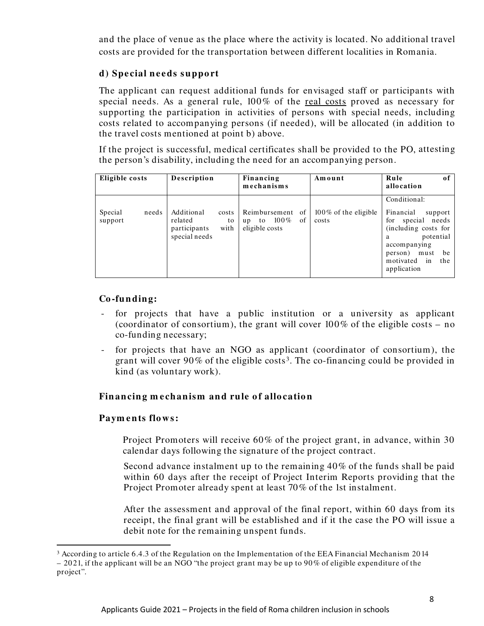and the place of venue as the place where the activity is located. No additional travel costs are provided for the transportation between different localities in Romania.

## **d) Spe cial n e e ds suppo rt**

The applicant can request additional funds for envisaged staff or participants with special needs. As a general rule, 100% of the real costs proved as necessary for supporting the participation in activities of persons with special needs, including costs related to accompanying persons (if needed), will be allocated (in addition to the travel costs mentioned at point b) above.

If the project is successful, medical certificates shall be provided to the PO, attesting the person's disability, including the need for an accompanying person.

| Eligible costs              | Description                                                                   | Financing<br>mechanisms                                         | Amount                           | Rule<br>оf<br>allocation                                                                                                                                                                    |
|-----------------------------|-------------------------------------------------------------------------------|-----------------------------------------------------------------|----------------------------------|---------------------------------------------------------------------------------------------------------------------------------------------------------------------------------------------|
| Special<br>needs<br>support | Additional<br>costs<br>related<br>to<br>participants<br>with<br>special needs | Reimbursement of<br>of<br>$100\%$<br>to<br>up<br>eligible costs | $100\%$ of the eligible<br>costs | Conditional:<br>Financial<br>support<br>needs<br>special<br>for<br>(including costs for<br>potential<br>a<br>accompanying<br>person)<br>be<br>must<br>motivated<br>the<br>in<br>application |

## **Co -fun din g:**

- for projects that have a public institution or a university as applicant (coordinator of consortium), the grant will cover 100% of the eligible costs – no co-funding necessary;
- for projects that have an NGO as applicant (coordinator of consortium), the grant will cover 90% of the eligible costs[3](#page-7-0). The co-financing could be provided in kind (as voluntary work).

## **Financing mechanism and rule of allocation**

## **Paym e n ts flo w s:**

Project Promoters will receive 60% of the project grant, in advance, within 30 calendar days following the signature of the project contract.

Second advance instalment up to the remaining 40% of the funds shall be paid within 60 days after the receipt of Project Interim Reports providing that the Project Promoter already spent at least 70% of the 1st instalment.

After the assessment and approval of the final report, within 60 days from its receipt, the final grant will be established and if it the case the PO will issue a debit note for the remaining unspent funds.

<span id="page-7-0"></span><sup>3</sup> According to article 6.4.3 of the Regulation on the Implementation of the EEA Financial Mechanism 2014  $-2021$ , if the applicant will be an NGO "the project grant may be up to 90% of eligible expenditure of the project".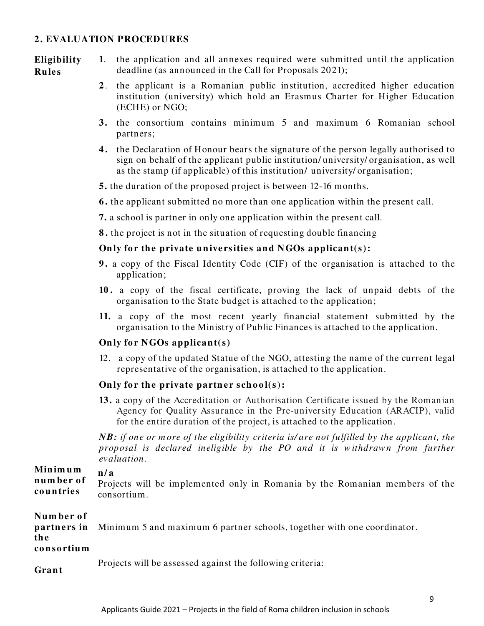#### **2 . EVALUATION PROCEDURES**

**Eligibility Rule s**

- **1**. the application and all annexes required were submitted until the application deadline (as announced in the Call for Proposals 2021);
	- **2** . the applicant is a Romanian public institution, accredited higher education institution (university) which hold an Erasmus Charter for Higher Education (ECHE) or NGO;
	- **3.** the consortium contains minimum 5 and maximum 6 Romanian school partners;
	- **4 .** the Declaration of Honour bears the signature of the person legally authorised to sign on behalf of the applicant public institution/ university/ organisation, as well as the stamp (if applicable) of this institution/ university/ organisation;
	- **5.** the duration of the proposed project is between 12-16 months.
	- **6 .** the applicant submitted no more than one application within the present call.
	- **7.** a school is partner in only one application within the present call.

**8 .** the project is not in the situation of requesting double financing

#### **Only for the private universities and NGOs applicant(s):**

- **9 .** a copy of the Fiscal Identity Code (CIF) of the organisation is attached to the application;
- **10 .** a copy of the fiscal certificate, proving the lack of unpaid debts of the organisation to the State budget is attached to the application;
- **11.** a copy of the most recent yearly financial statement submitted by the organisation to the Ministry of Public Finances is attached to the application.

#### **Only for NGOs applicant(s)**

12. a copy of the updated Statue of the NGO, attesting the name of the current legal representative of the organisation, is attached to the application.

#### **Only for the private partner school(s):**

**13.** a copy of the Accreditation or Authorisation Certificate issued by the Romanian Agency for Quality Assurance in the Pre-university Education (ARACIP), valid for the entire duration of the project, is attached to the application.

*NB: if one or m ore of the eligibility criteria is/ are not fulfilled by the applicant, the proposal is declared ineligible by the PO and it is w ithdraw n from further evaluation.* 

#### **Min im um n / a**

**n um be r o f co un trie s** Projects will be implemented only in Romania by the Romanian members of the consortium.

| Number of<br>th e<br>consortium | <b>partners in</b> Minimum 5 and maximum 6 partner schools, together with one coordinator. |
|---------------------------------|--------------------------------------------------------------------------------------------|
|                                 | Projects will be assessed against the following criteria:                                  |

**Gran t**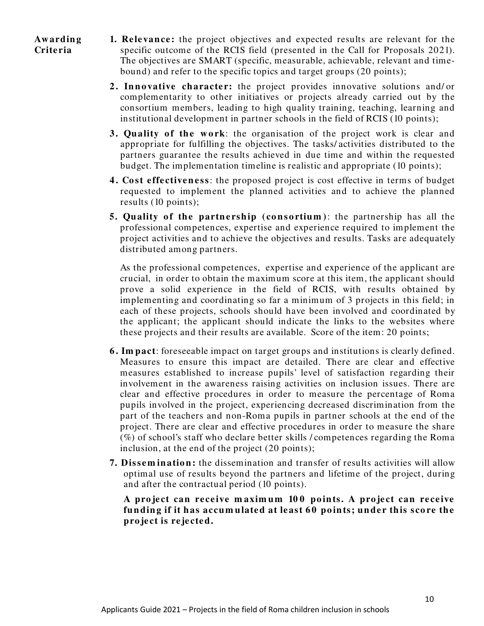- **Aw ardin g Crite ria**
- **1. Relevance:** the project objectives and expected results are relevant for the specific outcome of the RCIS field (presented in the Call for Proposals 2021). The objectives are SMART (specific, measurable, achievable, relevant and timebound) and refer to the specific topics and target groups (20 points);
- **2. Innovative character:** the project provides innovative solutions and/ or complementarity to other initiatives or projects already carried out by the consortium members, leading to high quality training, teaching, learning and institutional development in partner schools in the field of RCIS (10 points);
- **3. Quality of the work**: the organisation of the project work is clear and appropriate for fulfilling the objectives. The tasks/ activities distributed to the partners guarantee the results achieved in due time and within the requested budget. The implementation timeline is realistic and appropriate (10 points);
- **4. Cost effectiveness:** the proposed project is cost effective in terms of budget requested to implement the planned activities and to achieve the planned results (10 points);
- **5.** Quality of the partnership (consortium): the partnership has all the professional competences, expertise and experience required to implement the project activities and to achieve the objectives and results. Tasks are adequately distributed among partners.

As the professional competences, expertise and experience of the applicant are crucial, in order to obtain the maximum score at this item, the applicant should prove a solid experience in the field of RCIS, with results obtained by implementing and coordinating so far a minimum of 3 projects in this field; in each of these projects, schools should have been involved and coordinated by the applicant; the applicant should indicate the links to the websites where these projects and their results are available. Score of the item: 20 points;

- **6 . Im pact**: foreseeable impact on target groups and institutions is clearly defined. Measures to ensure this impact are detailed. There are clear and effective measures established to increase pupils' level of satisfaction regarding their involvement in the awareness raising activities on inclusion issues. There are clear and effective procedures in order to measure the percentage of Roma pupils involved in the project, experiencing decreased discrimination from the part of the teachers and non-Roma pupils in partner schools at the end of the project. There are clear and effective procedures in order to measure the share  $(\%)$  of school's staff who declare better skills / competences regarding the Roma inclusion, at the end of the project (20 points);
- **7. Dissemination:** the dissemination and transfer of results activities will allow optimal use of results beyond the partners and lifetime of the project, during and after the contractual period (10 points).

**A pro je ct can re ce ive m axim um 10 0 po in ts. A pro ject can re ce ive fun din g if it has accum ulated at le ast 6 0 po in ts; unde r this sco re the pro ject is re je cte d.**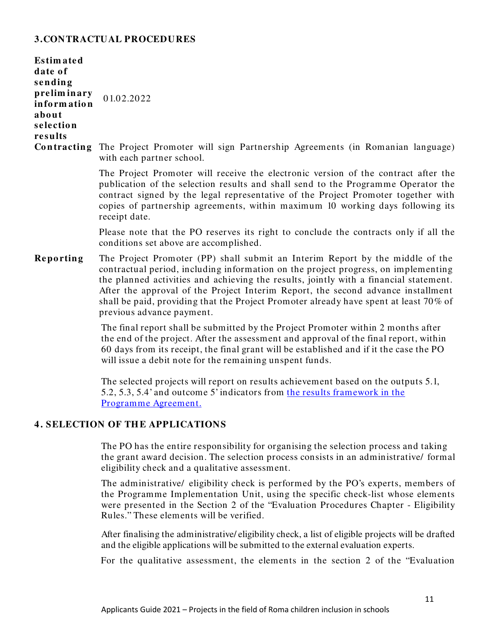## **3.CONTRACTUAL PROCEDURES**

| <b>Estimated</b><br>date of<br>sending<br>preliminary<br>information<br>about<br>selection<br>results | 01.02.2022                                                                                                                                                                                                                                                                                                                                                      |
|-------------------------------------------------------------------------------------------------------|-----------------------------------------------------------------------------------------------------------------------------------------------------------------------------------------------------------------------------------------------------------------------------------------------------------------------------------------------------------------|
|                                                                                                       | <b>Contracting</b> The Project Promoter will sign Partnership Agreements (in Romanian language)<br>with each partner school.                                                                                                                                                                                                                                    |
|                                                                                                       | The Project Promoter will receive the electronic version of the contract after the<br>publication of the selection results and shall send to the Programme Operator the<br>contract signed by the legal representative of the Project Promoter together with<br>copies of partnership agreements, within maximum 10 working days following its<br>receipt date. |

Please note that the PO reserves its right to conclude the contracts only if all the conditions set above are accomplished.

**Reporting** The Project Promoter (PP) shall submit an Interim Report by the middle of the contractual period, including information on the project progress, on implementing the planned activities and achieving the results, jointly with a financial statement. After the approval of the Project Interim Report, the second advance installment shall be paid, providing that the Project Promoter already have spent at least 70% of previous advance payment.

> The final report shall be submitted by the Project Promoter within 2 months after the end of the project. After the assessment and approval of the final report, within 60 days from its receipt, the final grant will be established and if it the case the PO will issue a debit note for the remaining unspent funds.

The selected projects will report on results achievement based on the outputs 5.1, 5.2, 5.3, 5.4' and outcome 5' indicators from the results [framework in](https://www.eea4edu.ro/wp-content/uploads/2021/07/ESAYEP_indicators_2021.pdf) the [Programme Agreement.](https://www.eea4edu.ro/wp-content/uploads/2021/07/ESAYEP_indicators_2021.pdf)

## **4 . SELECTION OF TH E APPLICATIONS**

The PO has the entire responsibility for organising the selection process and taking the grant award decision. The selection process consists in an administrative/ formal eligibility check and a qualitative assessment.

The administrative/ eligibility check is performed by the PO's experts, members of the Programme Implementation Unit, using the specific check-list whose elements were presented in the Section 2 of the "Evaluation Procedures Chapter - Eligibility Rules." These elements will be verified.

After finalising the administrative/ eligibility check, a list of eligible projects will be drafted and the eligible applications will be submitted to the external evaluation experts.

For the qualitative assessment, the elements in the section 2 of the "Evaluation